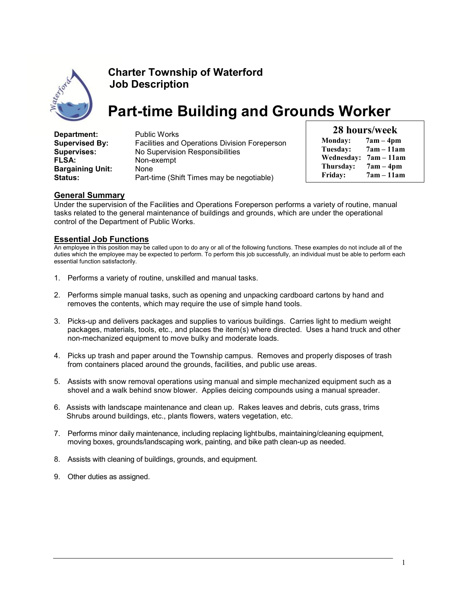

# Charter Township of Waterford Job Description

# Part-time Building and Grounds Worker

Department: Public Works Supervised By: Facilities and Operations Division Foreperson Supervises: No Supervision Responsibilities FLSA: Non-exempt Bargaining Unit: None Status: Part-time (Shift Times may be negotiable)

|                                 | 28 hours/week |
|---------------------------------|---------------|
| $and \overline{a} \overline{b}$ | $7am$ $4nm$   |

| <b>Monday:</b>    | 7am – 4pm    |
|-------------------|--------------|
| Tuesday:          | $7am - 11am$ |
| <b>Wednesday:</b> | $7am - 11am$ |
| Thursday:         | $7am - 4pm$  |
| Friday:           | $7am - 11am$ |

# General Summary

Under the supervision of the Facilities and Operations Foreperson performs a variety of routine, manual tasks related to the general maintenance of buildings and grounds, which are under the operational control of the Department of Public Works.

## Essential Job Functions

An employee in this position may be called upon to do any or all of the following functions. These examples do not include all of the duties which the employee may be expected to perform. To perform this job successfully, an individual must be able to perform each essential function satisfactorily.

- 1. Performs a variety of routine, unskilled and manual tasks.
- 2. Performs simple manual tasks, such as opening and unpacking cardboard cartons by hand and removes the contents, which may require the use of simple hand tools.
- 3. Picks-up and delivers packages and supplies to various buildings. Carries light to medium weight packages, materials, tools, etc., and places the item(s) where directed. Uses a hand truck and other non-mechanized equipment to move bulky and moderate loads.
- 4. Picks up trash and paper around the Township campus. Removes and properly disposes of trash from containers placed around the grounds, facilities, and public use areas.
- 5. Assists with snow removal operations using manual and simple mechanized equipment such as a shovel and a walk behind snow blower. Applies deicing compounds using a manual spreader.
- 6. Assists with landscape maintenance and clean up. Rakes leaves and debris, cuts grass, trims Shrubs around buildings, etc., plants flowers, waters vegetation, etc.
- 7. Performs minor daily maintenance, including replacing light bulbs, maintaining/cleaning equipment, moving boxes, grounds/landscaping work, painting, and bike path clean-up as needed.
- 8. Assists with cleaning of buildings, grounds, and equipment.
- 9. Other duties as assigned.